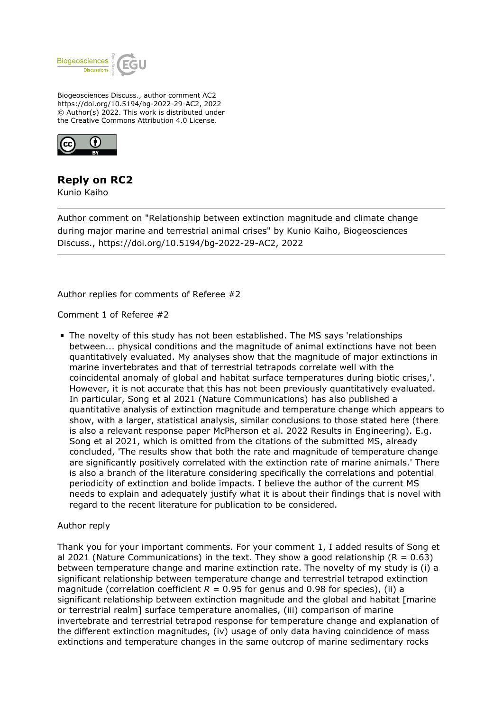

Biogeosciences Discuss., author comment AC2 https://doi.org/10.5194/bg-2022-29-AC2, 2022 © Author(s) 2022. This work is distributed under the Creative Commons Attribution 4.0 License.



# **Reply on RC2**

Kunio Kaiho

Author comment on "Relationship between extinction magnitude and climate change during major marine and terrestrial animal crises" by Kunio Kaiho, Biogeosciences Discuss., https://doi.org/10.5194/bg-2022-29-AC2, 2022

Author replies for comments of Referee #2

Comment 1 of Referee #2

The novelty of this study has not been established. The MS says 'relationships between... physical conditions and the magnitude of animal extinctions have not been quantitatively evaluated. My analyses show that the magnitude of major extinctions in marine invertebrates and that of terrestrial tetrapods correlate well with the coincidental anomaly of global and habitat surface temperatures during biotic crises,'. However, it is not accurate that this has not been previously quantitatively evaluated. In particular, Song et al 2021 (Nature Communications) has also published a quantitative analysis of extinction magnitude and temperature change which appears to show, with a larger, statistical analysis, similar conclusions to those stated here (there is also a relevant response paper McPherson et al. 2022 Results in Engineering). E.g. Song et al 2021, which is omitted from the citations of the submitted MS, already concluded, 'The results show that both the rate and magnitude of temperature change are significantly positively correlated with the extinction rate of marine animals.' There is also a branch of the literature considering specifically the correlations and potential periodicity of extinction and bolide impacts. I believe the author of the current MS needs to explain and adequately justify what it is about their findings that is novel with regard to the recent literature for publication to be considered.

### Author reply

Thank you for your important comments. For your comment 1, I added results of Song et al 2021 (Nature Communications) in the text. They show a good relationship ( $R = 0.63$ ) between temperature change and marine extinction rate. The novelty of my study is (i) a significant relationship between temperature change and terrestrial tetrapod extinction magnitude (correlation coefficient  $R = 0.95$  for genus and 0.98 for species), (ii) a significant relationship between extinction magnitude and the global and habitat [marine or terrestrial realm] surface temperature anomalies, (iii) comparison of marine invertebrate and terrestrial tetrapod response for temperature change and explanation of the different extinction magnitudes, (iv) usage of only data having coincidence of mass extinctions and temperature changes in the same outcrop of marine sedimentary rocks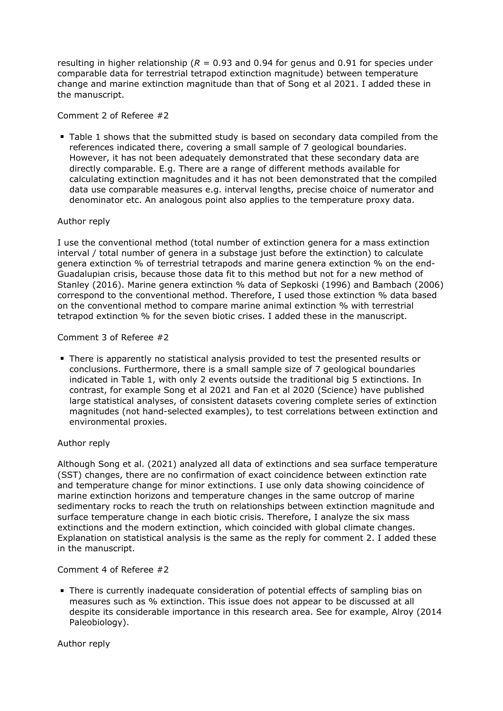resulting in higher relationship (*R* = 0.93 and 0.94 for genus and 0.91 for species under comparable data for terrestrial tetrapod extinction magnitude) between temperature change and marine extinction magnitude than that of Song et al 2021. I added these in the manuscript.

# Comment 2 of Referee #2

Table 1 shows that the submitted study is based on secondary data compiled from the references indicated there, covering a small sample of 7 geological boundaries. However, it has not been adequately demonstrated that these secondary data are directly comparable. E.g. There are a range of different methods available for calculating extinction magnitudes and it has not been demonstrated that the compiled data use comparable measures e.g. interval lengths, precise choice of numerator and denominator etc. An analogous point also applies to the temperature proxy data.

# Author reply

I use the conventional method (total number of extinction genera for a mass extinction interval / total number of genera in a substage just before the extinction) to calculate genera extinction % of terrestrial tetrapods and marine genera extinction % on the end-Guadalupian crisis, because those data fit to this method but not for a new method of Stanley (2016). Marine genera extinction % data of Sepkoski (1996) and Bambach (2006) correspond to the conventional method. Therefore, I used those extinction % data based on the conventional method to compare marine animal extinction % with terrestrial tetrapod extinction % for the seven biotic crises. I added these in the manuscript.

# Comment 3 of Referee #2

There is apparently no statistical analysis provided to test the presented results or conclusions. Furthermore, there is a small sample size of 7 geological boundaries indicated in Table 1, with only 2 events outside the traditional big 5 extinctions. In contrast, for example Song et al 2021 and Fan et al 2020 (Science) have published large statistical analyses, of consistent datasets covering complete series of extinction magnitudes (not hand-selected examples), to test correlations between extinction and environmental proxies.

### Author reply

Although Song et al. (2021) analyzed all data of extinctions and sea surface temperature (SST) changes, there are no confirmation of exact coincidence between extinction rate and temperature change for minor extinctions. I use only data showing coincidence of marine extinction horizons and temperature changes in the same outcrop of marine sedimentary rocks to reach the truth on relationships between extinction magnitude and surface temperature change in each biotic crisis. Therefore, I analyze the six mass extinctions and the modern extinction, which coincided with global climate changes. Explanation on statistical analysis is the same as the reply for comment 2. I added these in the manuscript.

### Comment 4 of Referee #2

There is currently inadequate consideration of potential effects of sampling bias on measures such as % extinction. This issue does not appear to be discussed at all despite its considerable importance in this research area. See for example, Alroy (2014 Paleobiology).

Author reply